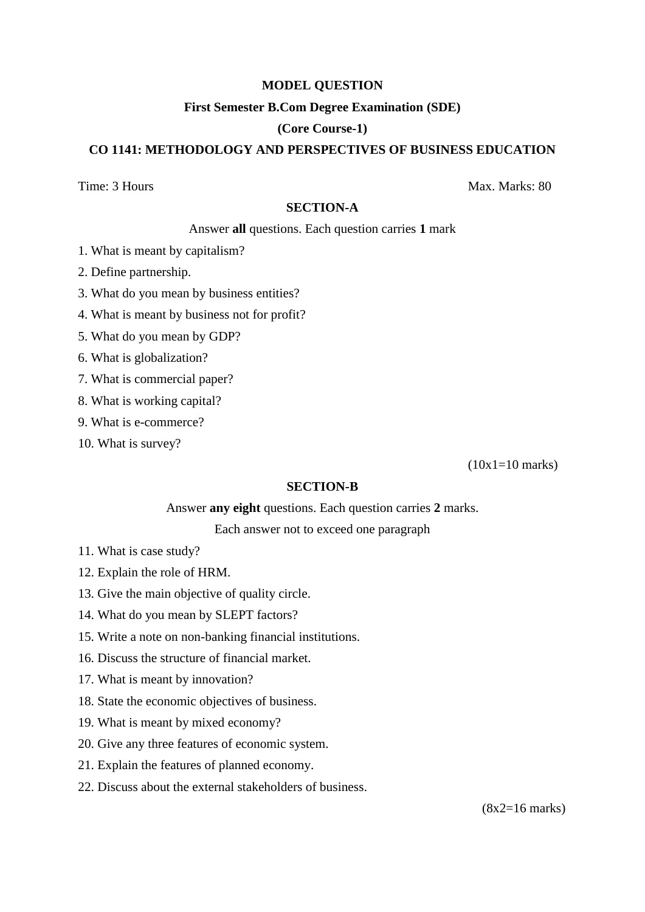## **MODEL QUESTION**

### **First Semester B.Com Degree Examination (SDE)**

### **(Core Course-1)**

# **CO 1141: METHODOLOGY AND PERSPECTIVES OF BUSINESS EDUCATION**

Time: 3 Hours Max. Marks: 80

### **SECTION-A**

#### Answer **all** questions. Each question carries **1** mark

- 1. What is meant by capitalism?
- 2. Define partnership.
- 3. What do you mean by business entities?
- 4. What is meant by business not for profit?
- 5. What do you mean by GDP?
- 6. What is globalization?
- 7. What is commercial paper?
- 8. What is working capital?
- 9. What is e-commerce?
- 10. What is survey?

(10x1=10 marks)

### **SECTION-B**

#### Answer **any eight** questions. Each question carries **2** marks.

Each answer not to exceed one paragraph

- 11. What is case study?
- 12. Explain the role of HRM.
- 13. Give the main objective of quality circle.
- 14. What do you mean by SLEPT factors?
- 15. Write a note on non-banking financial institutions.
- 16. Discuss the structure of financial market.
- 17. What is meant by innovation?
- 18. State the economic objectives of business.
- 19. What is meant by mixed economy?
- 20. Give any three features of economic system.
- 21. Explain the features of planned economy.
- 22. Discuss about the external stakeholders of business.